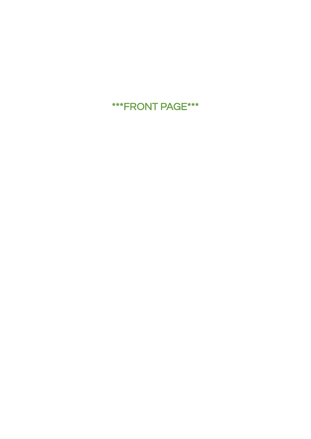# \*\*\*FRONT PAGE\*\*\*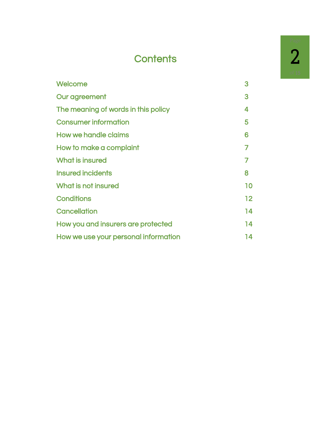# **Contents**

| Welcome                              | 3                 |
|--------------------------------------|-------------------|
| Our agreement                        | 3                 |
| The meaning of words in this policy  | 4                 |
| <b>Consumer information</b>          | 5                 |
| <b>How we handle claims</b>          | 6                 |
| How to make a complaint              | 7                 |
| What is insured                      | 7                 |
| <b>Insured incidents</b>             | 8                 |
| What is not insured                  | 10                |
| Conditions                           | $12 \overline{ }$ |
| <b>Cancellation</b>                  | 14                |
| How you and insurers are protected   | 14                |
| How we use your personal information | 14                |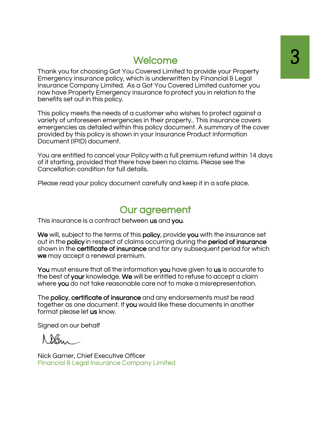## **Welcome**

Thank you for choosing Got You Covered Limited to provide your Property Emergency insurance policy, which is underwritten by Financial & Legal Insurance Company Limited. As a Got You Covered Limited customer you now have Property Emergency insurance to protect you in relation to the benefits set out in this policy.

This policy meets the needs of a customer who wishes to protect against a variety of unforeseen emergencies in their property.. This insurance covers emergencies as detailed within this policy document. A summary of the cover provided by this policy is shown in your Insurance Product Information Document (IPID) document.

You are entitled to cancel your Policy with a full premium refund within 14 days of it starting, provided that there have been no claims. Please see the Cancellation condition for full details.

Please read your policy document carefully and keep it in a safe place.

## Our agreement

This insurance is a contract between us and you.

We will, subject to the terms of this **policy**, provide you with the insurance set out in the policy in respect of claims occurring during the period of insurance shown in the certificate of insurance and for any subsequent period for which we may accept a renewal premium.

You must ensure that all the information you have given to us is accurate to the best of your knowledge. We will be entitled to refuse to accept a claim where you do not take reasonable care not to make a misrepresentation.

The policy, certificate of insurance and any endorsements must be read together as one document. If you would like these documents in another format please let us know.

Signed on our behalf

Nick Garner, Chief Executive Officer Financial & Legal Insurance Company Limited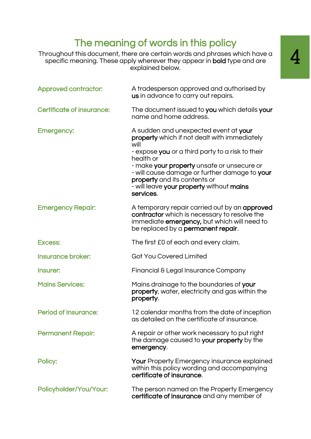# The meaning of words in this policy

 Throughout this document, there are certain words and phrases which have a specific meaning. These apply wherever they appear in **bold** type and are explained below.

| <b>Approved contractor:</b>      | A tradesperson approved and authorised by<br>us in advance to carry out repairs.                                                                                                                                                                                                                                                                       |
|----------------------------------|--------------------------------------------------------------------------------------------------------------------------------------------------------------------------------------------------------------------------------------------------------------------------------------------------------------------------------------------------------|
| <b>Certificate of insurance:</b> | The document issued to you which details your<br>name and home address.                                                                                                                                                                                                                                                                                |
| <b>Emergency:</b>                | A sudden and unexpected event at your<br>property which if not dealt with immediately<br>will<br>- expose you or a third party to a risk to their<br>health or<br>- make your property unsafe or unsecure or<br>- will cause damage or further damage to your<br>property and its contents or<br>- will leave your property without mains<br>services. |
| <b>Emergency Repair:</b>         | A temporary repair carried out by an approved<br>contractor which is necessary to resolve the<br>immediate emergency, but which will need to<br>be replaced by a permanent repair.                                                                                                                                                                     |
| <b>Excess:</b>                   | The first £0 of each and every claim.                                                                                                                                                                                                                                                                                                                  |
| <b>Insurance broker:</b>         | <b>Got You Covered Limited</b>                                                                                                                                                                                                                                                                                                                         |
| Insurer:                         | Financial & Legal Insurance Company                                                                                                                                                                                                                                                                                                                    |
| <b>Mains Services:</b>           | Mains drainage to the boundaries of your<br>property, water, electricity and gas within the<br>property.                                                                                                                                                                                                                                               |
| <b>Period of Insurance:</b>      | 12 calendar months from the date of inception<br>as detailed on the certificate of insurance.                                                                                                                                                                                                                                                          |
| <b>Permanent Repair:</b>         | A repair or other work necessary to put right<br>the damage caused to your property by the<br>emergency.                                                                                                                                                                                                                                               |
| Policy:                          | <b>Your</b> Property Emergency insurance explained<br>within this policy wording and accompanying<br>certificate of insurance.                                                                                                                                                                                                                         |
| Policyholder/You/Your:           | The person named on the Property Emergency<br>certificate of insurance and any member of                                                                                                                                                                                                                                                               |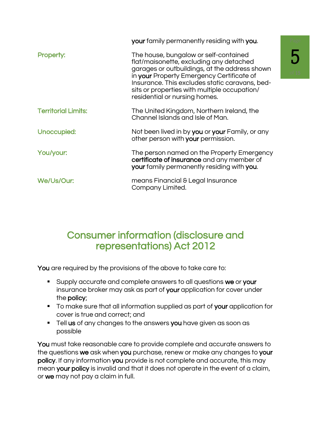|                            | your family permanently residing with you.                                                                                                                                                                                                                                                                        |
|----------------------------|-------------------------------------------------------------------------------------------------------------------------------------------------------------------------------------------------------------------------------------------------------------------------------------------------------------------|
| Property:                  | The house, bungalow or self-contained<br>flat/maisonette, excluding any detached<br>garages or outbuildings, at the address shown<br>in your Property Emergency Certificate of<br>Insurance. This excludes static caravans, bed-<br>sits or properties with multiple occupation/<br>residential or nursing homes. |
| <b>Territorial Limits:</b> | The United Kingdom, Northern Ireland, the<br>Channel Islands and Isle of Man.                                                                                                                                                                                                                                     |
| Unoccupied:                | Not been lived in by <b>you</b> or <b>your</b> Family, or any<br>other person with your permission.                                                                                                                                                                                                               |
| You/your:                  | The person named on the Property Emergency<br>certificate of insurance and any member of<br>your family permanently residing with you.                                                                                                                                                                            |
| We/Us/Our:                 | means Financial & Legal Insurance<br>Company Limited.                                                                                                                                                                                                                                                             |

# Consumer information (disclosure and representations) Act 2012

You are required by the provisions of the above to take care to:

- Supply accurate and complete answers to all questions we or your insurance broker may ask as part of your application for cover under the policy;
- To make sure that all information supplied as part of your application for cover is true and correct; and
- **Tell us** of any changes to the answers you have given as soon as possible

You must take reasonable care to provide complete and accurate answers to the questions we ask when you purchase, renew or make any changes to your policy. If any information you provide is not complete and accurate, this may mean your policy is invalid and that it does not operate in the event of a claim, or we may not pay a claim in full.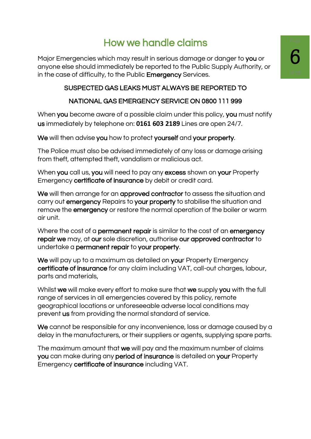# How we handle claims

Major Emergencies which may result in serious damage or danger to you or anyone else should immediately be reported to the Public Supply Authority, or in the case of difficulty, to the Public **Emergency** Services.

### SUSPECTED GAS LEAKS MUST ALWAYS BE REPORTED TO

### NATIONAL GAS EMERGENCY SERVICE ON 0800 111 999

When you become aware of a possible claim under this policy, you must notify us immediately by telephone on: **0161 603 2189** Lines are open 24/7.

We will then advise you how to protect yourself and your property.

The Police must also be advised immediately of any loss or damage arising from theft, attempted theft, vandalism or malicious act.

When you call us, you will need to pay any excess shown on your Property Emergency certificate of insurance by debit or credit card.

We will then arrange for an approved contractor to assess the situation and carry out emergency Repairs to your property to stabilise the situation and remove the **emergency** or restore the normal operation of the boiler or warm air unit.

Where the cost of a permanent repair is similar to the cost of an emergency repair we may, at our sole discretion, authorise our approved contractor to undertake a permanent repair to your property.

We will pay up to a maximum as detailed on your Property Emergency certificate of insurance for any claim including VAT, call-out charges, labour, parts and materials,

Whilst we will make every effort to make sure that we supply you with the full range of services in all emergencies covered by this policy, remote geographical locations or unforeseeable adverse local conditions may prevent us from providing the normal standard of service.

We cannot be responsible for any inconvenience, loss or damage caused by a delay in the manufacturers, or their suppliers or agents, supplying spare parts.

The maximum amount that we will pay and the maximum number of claims you can make during any period of insurance is detailed on your Property Emergency certificate of insurance including VAT.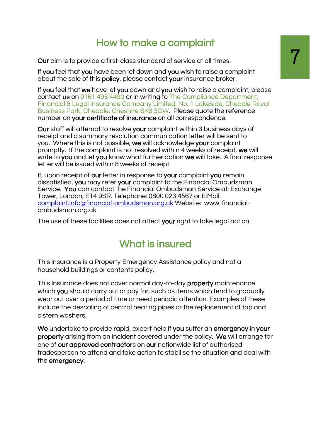# How to make a complaint

Our aim is to provide a first-class standard of service at all times.

If you feel that you have been let down and you wish to raise a complaint about the sale of this policy, please contact your insurance broker.

If you feel that we have let you down and you wish to raise a complaint, please contact us on 0161 495 4490 or in writing to The Compliance Department, Financial & Legal Insurance Company Limited, No. 1 Lakeside, Cheadle Royal Business Park, Cheadle, Cheshire SK8 3GW. Please quote the reference number on your certificate of insurance on all correspondence.

Our staff will attempt to resolve your complaint within 3 business days of receipt and a summary resolution communication letter will be sent to you. Where this is not possible, we will acknowledge your complaint promptly. If the complaint is not resolved within 4 weeks of receipt, we will write to you and let you know what further action we will take. A final response letter will be issued within 8 weeks of receipt.

If, upon receipt of our letter in response to your complaint you remain dissatisfied, you may refer your complaint to the Financial Ombudsman Service. You can contact the Financial Ombudsman Service at: Exchange Tower, London, E14 9SR. Telephone: 0800 023 4567 or E:Mail: [complaint.info@financial-ombudsman.org.uk](mailto:complaint.info@financial-ombudsman.org.uk) Website: www. financialombudsman.org.uk

The use of these facilities does not affect your right to take legal action.

# What is insured

This insurance is a Property Emergency Assistance policy and not a household buildings or contents policy.

This Insurance does not cover normal day-to-day property maintenance which you should carry out or pay for, such as items which tend to gradually wear out over a period of time or need periodic attention. Examples of these include the descaling of central heating pipes or the replacement of tap and cistern washers.

We undertake to provide rapid, expert help if you suffer an emergency in your property arising from an incident covered under the policy. We will arrange for one of our approved contractors on our nationwide list of authorised tradesperson to attend and take action to stabilise the situation and deal with the emergency.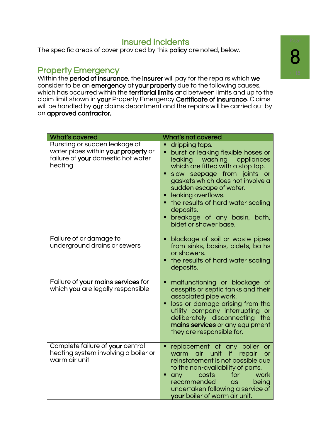### Insured incidents

The specific areas of cover provided by this policy are noted, below.

### Property Emergency

Within the period of insurance, the insurer will pay for the repairs which we consider to be an emergency at your property due to the following causes, which has occurred within the **territorial limits** and between limits and up to the claim limit shown in your Property Emergency Certificate of Insurance. Claims will be handled by our claims department and the repairs will be carried out by an approved contractor.

| <b>What's covered</b>                                                                                                 | What's not covered                                                                                                                                                                                                                                                                                                                                                                                                     |
|-----------------------------------------------------------------------------------------------------------------------|------------------------------------------------------------------------------------------------------------------------------------------------------------------------------------------------------------------------------------------------------------------------------------------------------------------------------------------------------------------------------------------------------------------------|
| Bursting or sudden leakage of<br>water pipes within your property or<br>failure of your domestic hot water<br>heating | dripping taps.<br>burst or leaking flexible hoses or<br>٠<br>leaking washing<br>appliances<br>which are fitted with a stop tap.<br>slow seepage from joints or<br>gaskets which does not involve a<br>sudden escape of water.<br>leaking overflows.<br>the results of hard water scaling<br>deposits.<br>breakage of any basin, bath,<br>٠<br>bidet or shower base.                                                    |
| Failure of or damage to<br>underground drains or sewers                                                               | blockage of soil or waste pipes<br>from sinks, basins, bidets, baths<br>or showers.<br>the results of hard water scaling<br>deposits.                                                                                                                                                                                                                                                                                  |
| Failure of your mains services for<br>which you are legally responsible                                               | malfunctioning or blockage of<br>٠<br>cesspits or septic tanks and their<br>associated pipe work.<br>loss or damage arising from the<br>utility company interrupting or<br>deliberately disconnecting the<br>mains services or any equipment<br>they are responsible for.                                                                                                                                              |
| Complete failure of your central<br>heating system involving a boiler or<br>warm air unit                             | replacement of any boiler<br><b>or</b><br>if and the set of the set of the set of the set of the set of the set of the set of the set of the set of the s<br>air unit<br>warm<br>repair<br><b>or</b><br>reinstatement is not possible due<br>to the non-availability of parts.<br>costs<br>for<br>work<br>any<br>Ξ<br>recommended<br>being<br>as<br>undertaken following a service of<br>your boiler of warm air unit. |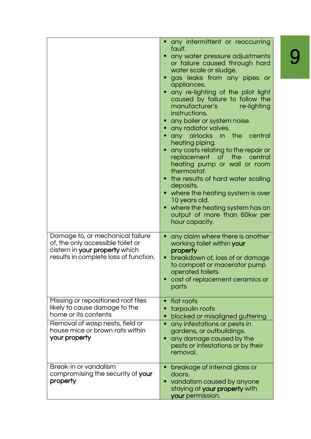|                                                                                                                                                                                    | any intermittent or reoccurring<br>fault.<br>any water pressure adjustments<br>or failure caused through hard<br>water scale or sludge.<br>gas leaks from any pipes or<br>appliances.<br>any re-lighting of the pilot light<br>caused by failure to follow the<br>manufacturer's <b>comparishes</b><br>re-lighting<br>instructions.<br>any boiler or system noise.<br>• any radiator valves.<br>any airlocks in the central<br>heating piping.<br>any costs relating to the repair or<br>replacement of the central<br>heating pump or wall or room<br>thermostat.<br>the results of hard water scaling<br>deposits.<br>where the heating system is over<br>10 years old.<br>where the heating system has an<br>output of more than 60kw per<br>hour capacity. |
|------------------------------------------------------------------------------------------------------------------------------------------------------------------------------------|----------------------------------------------------------------------------------------------------------------------------------------------------------------------------------------------------------------------------------------------------------------------------------------------------------------------------------------------------------------------------------------------------------------------------------------------------------------------------------------------------------------------------------------------------------------------------------------------------------------------------------------------------------------------------------------------------------------------------------------------------------------|
| Damage to, or mechanical failure<br>of, the only accessible toilet or<br>cistern in your property which<br>results in complete loss of function.                                   | any claim where there is another<br>working toilet within your<br>property<br>breakdown of, loss of or damage<br>٠<br>to compost or macerator pump<br>operated toilets<br>cost of replacement ceramics or<br>parts                                                                                                                                                                                                                                                                                                                                                                                                                                                                                                                                             |
| Missing or repositioned roof tiles<br>likely to cause damage to the<br>home or its contents<br>Removal of wasp nests, field or<br>house mice or brown rats within<br>your property | flat roofs<br>п<br>tarpaulin roofs<br>blocked or misaligned guttering<br>any infestations or pests in<br>gardens, or outbuildings.<br>any damage caused by the<br>pests or infestations or by their<br>removal.                                                                                                                                                                                                                                                                                                                                                                                                                                                                                                                                                |
| Break-in or vandalism<br>compromising the security of your<br>property                                                                                                             | breakage of internal glass or<br>doors.<br>vandalism caused by anyone<br>staying at your property with<br>your permission.                                                                                                                                                                                                                                                                                                                                                                                                                                                                                                                                                                                                                                     |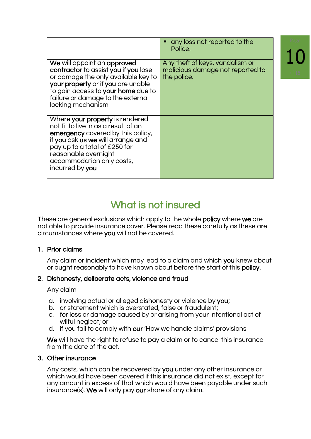|                                                                                                                                                                                                                                                            | any loss not reported to the<br>Police.                                            |
|------------------------------------------------------------------------------------------------------------------------------------------------------------------------------------------------------------------------------------------------------------|------------------------------------------------------------------------------------|
| We will appoint an approved<br>contractor to assist you if you lose<br>or damage the only available key to<br>your property or if you are unable<br>to gain access to your home due to<br>failure or damage to the external<br>locking mechanism           | Any theft of keys, vandalism or<br>malicious damage not reported to<br>the police. |
| Where your property is rendered<br>not fit to live in as a result of an<br>emergency covered by this policy,<br>if you ask us we will arrange and<br>pay up to a total of £250 for<br>reasonable overnight<br>accommodation only costs,<br>incurred by you |                                                                                    |

# What is not insured

These are general exclusions which apply to the whole **policy** where we are not able to provide insurance cover. Please read these carefully as these are circumstances where you will not be covered.

### 1. Prior claims

Any claim or incident which may lead to a claim and which you knew about or ought reasonably to have known about before the start of this policy.

### 2. Dishonesty, deliberate acts, violence and fraud

Any claim

- a. involving actual or alleged dishonesty or violence by you;
- b. or statement which is overstated, false or fraudulent;
- c. for loss or damage caused by or arising from your intentional act of wilful neglect; or
- d. if you fail to comply with our 'How we handle claims' provisions

We will have the right to refuse to pay a claim or to cancel this insurance from the date of the act.

### 3. Other insurance

Any costs, which can be recovered by you under any other insurance or which would have been covered if this insurance did not exist, except for any amount in excess of that which would have been payable under such insurance(s). We will only pay our share of any claim.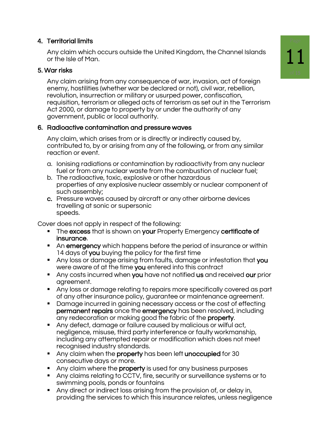### 4. Territorial limits

Any claim which occurs outside the United Kingdom, the Channel Islands or the Isle of Man.

### 5. War risks

Any claim arising from any consequence of war, invasion, act of foreign enemy, hostilities (whether war be declared or not), civil war, rebellion, revolution, insurrection or military or usurped power, confiscation, requisition, terrorism or alleged acts of terrorism as set out in the Terrorism Act 2000, or damage to property by or under the authority of any government, public or local authority.

### 6. Radioactive contamination and pressure waves

Any claim, which arises from or is directly or indirectly caused by, contributed to, by or arising from any of the following, or from any similar reaction or event.

- a. Ionising radiations or contamination by radioactivity from any nuclear fuel or from any nuclear waste from the combustion of nuclear fuel;
- b. The radioactive, toxic, explosive or other hazardous properties of any explosive nuclear assembly or nuclear component of such assembly;
- c. Pressure waves caused by aircraft or any other airborne devices travelling at sonic or supersonic speeds.

Cover does not apply in respect of the following:

- **The excess that is shown on your Property Emergency certificate of** insurance.
- An emergency which happens before the period of insurance or within 14 days of you buying the policy for the first time
- Any loss or damage arising from faults, damage or infestation that you were aware of at the time you entered into this contract
- Any costs incurred when you have not notified us and received our prior agreement.
- Any loss or damage relating to repairs more specifically covered as part of any other insurance policy, guarantee or maintenance agreement.
- Damage incurred in gaining necessary access or the cost of effecting permanent repairs once the emergency has been resolved, including any redecoration or making good the fabric of the property.
- Any defect, damage or failure caused by malicious or wilful act, negligence, misuse, third party interference or faulty workmanship, including any attempted repair or modification which does not meet recognised industry standards.
- Any claim when the property has been left unoccupied for 30 consecutive days or more.
- **E** Any claim where the property is used for any business purposes
- Any claims relating to CCTV, fire, security or surveillance systems or to swimming pools, ponds or fountains
- Any direct or indirect loss arising from the provision of, or delay in, providing the services to which this insurance relates, unless negligence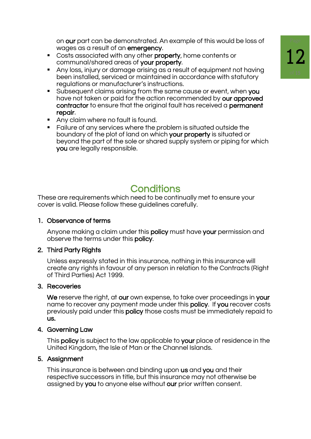on our part can be demonstrated. An example of this would be loss of wages as a result of an emergency.

- Costs associated with any other property, home contents or communal/shared areas of your property.
- Any loss, injury or damage arising as a result of equipment not having been installed, serviced or maintained in accordance with statutory regulations or manufacturer's instructions.
- **EXECT** Subsequent claims arising from the same cause or event, when you have not taken or paid for the action recommended by our approved contractor to ensure that the original fault has received a permanent repair.
- Any claim where no fault is found.
- Failure of any services where the problem is situated outside the boundary of the plot of land on which your property is situated or beyond the part of the sole or shared supply system or piping for which you are legally responsible.

## **Conditions**

These are requirements which need to be continually met to ensure your cover is valid. Please follow these guidelines carefully.

### 1. Observance of terms

Anyone making a claim under this policy must have your permission and observe the terms under this policy.

### 2. Third Party Rights

Unless expressly stated in this insurance, nothing in this insurance will create any rights in favour of any person in relation to the Contracts (Right of Third Parties) Act 1999.

### 3. Recoveries

We reserve the right, at our own expense, to take over proceedings in your name to recover any payment made under this policy. If you recover costs previously paid under this policy those costs must be immediately repaid to us.

### 4. Governing Law

This **policy** is subject to the law applicable to **your** place of residence in the United Kingdom, the Isle of Man or the Channel Islands.

### 5. Assignment

This insurance is between and binding upon us and you and their respective successors in title, but this insurance may not otherwise be assigned by you to anyone else without our prior written consent.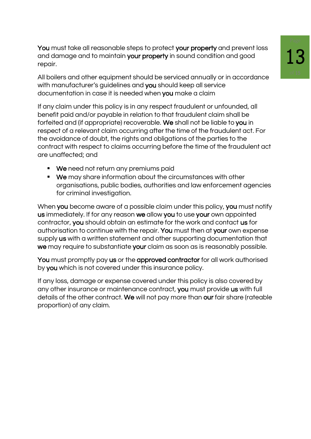You must take all reasonable steps to protect your property and prevent loss and damage and to maintain your property in sound condition and good repair.

All boilers and other equipment should be serviced annually or in accordance with manufacturer's quidelines and you should keep all service documentation in case it is needed when you make a claim

If any claim under this policy is in any respect fraudulent or unfounded, all benefit paid and/or payable in relation to that fraudulent claim shall be forfeited and (if appropriate) recoverable. We shall not be liable to you in respect of a relevant claim occurring after the time of the fraudulent act. For the avoidance of doubt, the rights and obligations of the parties to the contract with respect to claims occurring before the time of the fraudulent act are unaffected; and

- We need not return any premiums paid
- We may share information about the circumstances with other organisations, public bodies, authorities and law enforcement agencies for criminal investigation.

When you become aware of a possible claim under this policy, you must notify us immediately. If for any reason we allow you to use your own appointed contractor, you should obtain an estimate for the work and contact us for authorisation to continue with the repair. You must then at your own expense supply us with a written statement and other supporting documentation that we may require to substantiate your claim as soon as is reasonably possible.

You must promptly pay us or the approved contractor for all work authorised by you which is not covered under this insurance policy.

If any loss, damage or expense covered under this policy is also covered by any other insurance or maintenance contract, you must provide us with full details of the other contract. We will not pay more than our fair share (rateable proportion) of any claim.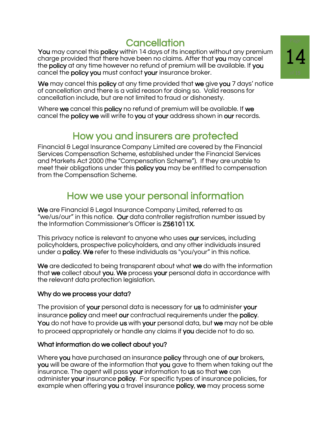# **Cancellation**

You may cancel this policy within 14 days of its inception without any premium charge provided that there have been no claims. After that you may cancel the policy at any time however no refund of premium will be available. If you cancel the policy you must contact your insurance broker.

We may cancel this **policy** at any time provided that we give you 7 days' notice of cancellation and there is a valid reason for doing so. Valid reasons for cancellation include, but are not limited to fraud or dishonesty.

Where we cancel this policy no refund of premium will be available. If we cancel the policy we will write to you at your address shown in our records.

# How you and insurers are protected

Financial & Legal Insurance Company Limited are covered by the Financial Services Compensation Scheme, established under the Financial Services and Markets Act 2000 (the "Compensation Scheme"). If they are unable to meet their obligations under this **policy you** may be entitled to compensation from the Compensation Scheme.

## How we use your personal information

We are Financial & Legal Insurance Company Limited, referred to as "we/us/our" in this notice. Our data controller registration number issued by the Information Commissioner's Officer is Z561011X.

This privacy notice is relevant to anyone who uses our services, including policyholders, prospective policyholders, and any other individuals insured under a policy. We refer to these individuals as "you/your" in this notice.

We are dedicated to being transparent about what we do with the information that we collect about you. We process your personal data in accordance with the relevant data protection legislation.

### Why do we process your data?

The provision of your personal data is necessary for us to administer your insurance policy and meet our contractual requirements under the policy. You do not have to provide us with your personal data, but we may not be able to proceed appropriately or handle any claims if you decide not to do so.

### What information do we collect about you?

Where you have purchased an insurance policy through one of our brokers, you will be aware of the information that you gave to them when taking out the insurance. The agent will pass your information to us so that we can administer your insurance policy. For specific types of insurance policies, for example when offering you a travel insurance policy, we may process some